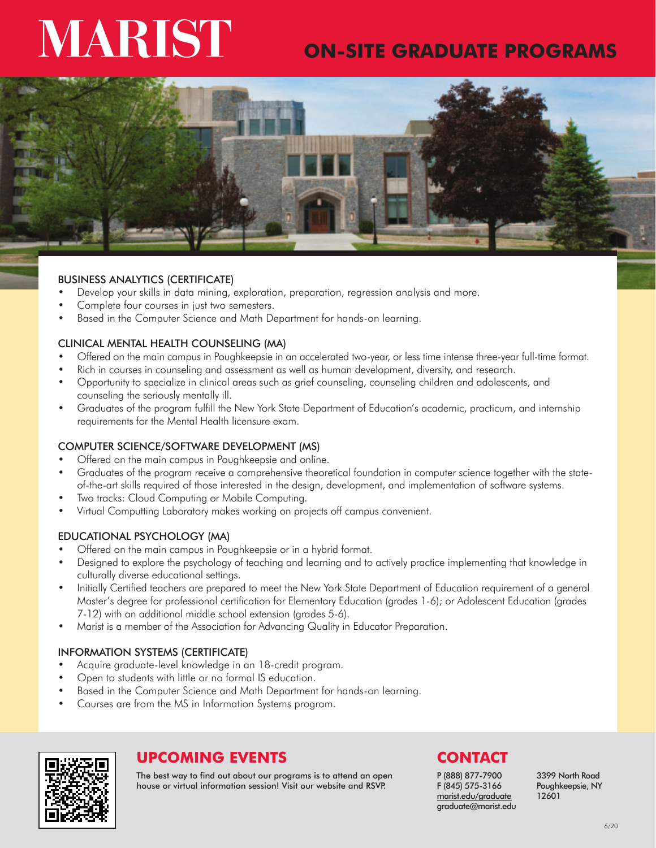# MARIST

## **ON-SITE GRADUATE PROGRAMS**



### BUSINESS ANALYTICS (CERTIFICATE)

- Develop your skills in data mining, exploration, preparation, regression analysis and more.
- Complete four courses in just two semesters.
- Based in the Computer Science and Math Department for hands-on learning.

### CLINICAL MENTAL HEALTH COUNSELING (MA)

- Offered on the main campus in Poughkeepsie in an accelerated two-year, or less time intense three-year full-time format.
- Rich in courses in counseling and assessment as well as human development, diversity, and research.
- Opportunity to specialize in clinical areas such as grief counseling, counseling children and adolescents, and counseling the seriously mentally ill.
- Graduates of the program fulfill the New York State Department of Education's academic, practicum, and internship requirements for the Mental Health licensure exam.

### COMPUTER SCIENCE/SOFTWARE DEVELOPMENT (MS)

- Offered on the main campus in Poughkeepsie and online.
- Graduates of the program receive a comprehensive theoretical foundation in computer science together with the stateof-the-art skills required of those interested in the design, development, and implementation of software systems.
- Two tracks: Cloud Computing or Mobile Computing.
- Virtual Computting Laboratory makes working on projects off campus convenient.

### EDUCATIONAL PSYCHOLOGY (MA)

- Offered on the main campus in Poughkeepsie or in a hybrid format.
- Designed to explore the psychology of teaching and learning and to actively practice implementing that knowledge in culturally diverse educational settings.
- Initially Certified teachers are prepared to meet the New York State Department of Education requirement of a general Master's degree for professional certification for Elementary Education (grades 1-6); or Adolescent Education (grades 7-12) with an additional middle school extension (grades 5-6).
- Marist is a member of the Association for Advancing Quality in Educator Preparation.

### INFORMATION SYSTEMS (CERTIFICATE)

- Acquire graduate-level knowledge in an 18-credit program.
- Open to students with little or no formal IS education.
- Based in the Computer Science and Math Department for hands-on learning.
- Courses are from the MS in Information Systems program.



### **UPCOMING EVENTS CONTACT**

The best way to find out about our programs is to attend an open house or virtual information session! Visit our website and RSVP.

P (888) 877-7900 F (845) 575-3166 marist.edu/graduate graduate@marist.edu 3399 North Road Poughkeepsie, NY 12601